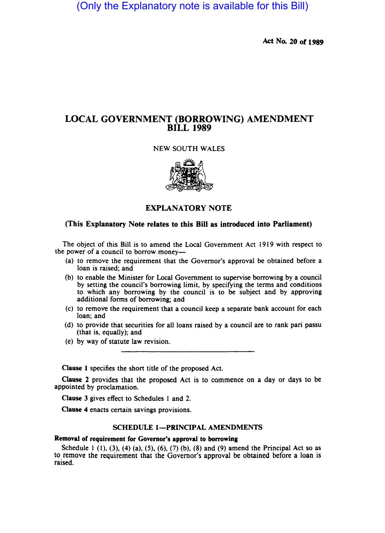(Only the Explanatory note is available for this Bill)

**Ad No. 20 of 1989** 

# **LOCAL GOVERNMENT (BORROWING) AMENDMENT BILL 1989**

# NEW SOUTH WALES



**EXPLANATORY NOTE** 

## **(This Explanatory Note relates to this Bill as introduced into Parliament)**

The object of this Bill is to amend the Local Government Act 1919 with respect to the power of a council to borrow money—

- (a) to remove the requirement that the Governor's approval be obtained before a loan is raised; and
- (b) to enable the Minister for Local Government to supervise borrowing by a council by setting the council's borrowing limit, by specifying the terms and conditions to which any borrowing by the council is to be subject and by approving additional forms of borrowing; and
- (c) to remove the requirement that a council keep a separate bank account for each loan; and
- (d) to provide that securities for all loans raised by a council are to rank pari passu (that is, equally); and
- (e) by way of statute law revision.

**Clause I** specifies the short title of the proposed Act.

**Clause** 2 provides that the proposed Act is to CQmmence on a day or days to be appointed by proclamation.

**Clause** 3 gives effect to Schedules 1 and 2.

**Clause 4** enacts certain savings provisions.

## **SCHEDULE 1-PRINCIPAL AMENDMENTS**

#### **Removal of requirement for Governor's approval to borrowing**

Schedule 1 (1), (3), (4) (a), (5), (6), (7) (b), (8) and (9) amend the Principal Act so as to remove the requirement that the Governor's approval be obtained before a loan is raised.